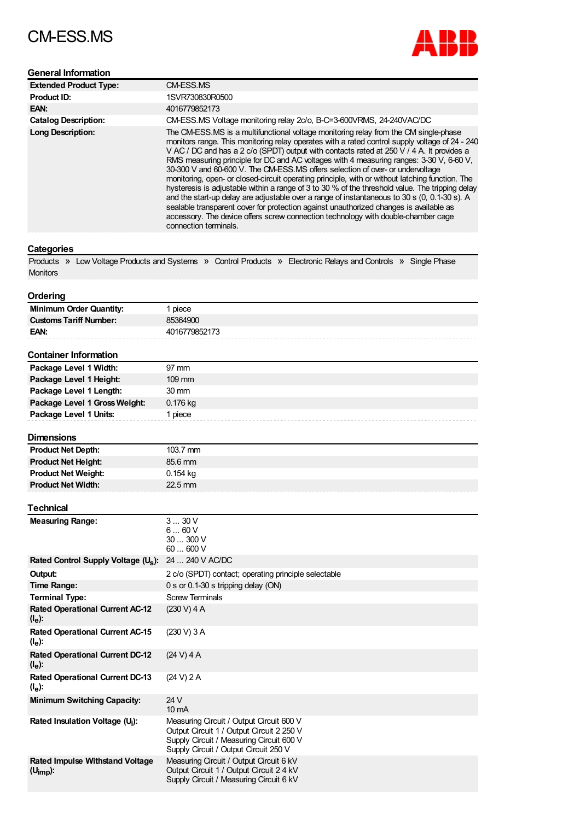# CM-ESS.MS



## **General Information**

| <b>Extended Product Type:</b> | CM-ESS.MS                                                                                                                                                                                                                                                                                                                                                                                                                                                                                                                                                                                                                                                                                                                                                                                                                                                                                                                                                                      |
|-------------------------------|--------------------------------------------------------------------------------------------------------------------------------------------------------------------------------------------------------------------------------------------------------------------------------------------------------------------------------------------------------------------------------------------------------------------------------------------------------------------------------------------------------------------------------------------------------------------------------------------------------------------------------------------------------------------------------------------------------------------------------------------------------------------------------------------------------------------------------------------------------------------------------------------------------------------------------------------------------------------------------|
| Product ID:                   | 1SVR730830R0500                                                                                                                                                                                                                                                                                                                                                                                                                                                                                                                                                                                                                                                                                                                                                                                                                                                                                                                                                                |
| EAN:                          | 4016779852173                                                                                                                                                                                                                                                                                                                                                                                                                                                                                                                                                                                                                                                                                                                                                                                                                                                                                                                                                                  |
| <b>Catalog Description:</b>   | CM-ESS.MS Voltage monitoring relay 2c/o, B-C=3-600VRMS, 24-240VAC/DC                                                                                                                                                                                                                                                                                                                                                                                                                                                                                                                                                                                                                                                                                                                                                                                                                                                                                                           |
| <b>Long Description:</b>      | The CM-ESS.MS is a multifunctional voltage monitoring relay from the CM single-phase<br>monitors range. This monitoring relay operates with a rated control supply voltage of 24 - 240<br>V AC / DC and has a 2 c/o (SPDT) output with contacts rated at 250 V / 4 A. It provides a<br>RMS measuring principle for DC and AC voltages with 4 measuring ranges: 3-30 V, 6-60 V,<br>30-300 V and 60-600 V. The CM-ESS.MS offers selection of over- or undervoltage<br>monitoring, open- or closed-circuit operating principle, with or without latching function. The<br>hysteresis is adjustable within a range of 3 to 30 % of the threshold value. The tripping delay<br>and the start-up delay are adjustable over a range of instantaneous to 30 s (0, 0.1-30 s). A<br>sealable transparent cover for protection against unauthorized changes is available as<br>accessory. The device offers screw connection technology with double-chamber cage<br>connection terminals. |

## **Categories**

|                 | Products » Low Voltage Products and Systems » Control Products » Electronic Relays and Controls » Single Phase |  |  |  |
|-----------------|----------------------------------------------------------------------------------------------------------------|--|--|--|
| <b>Monitors</b> |                                                                                                                |  |  |  |

#### **Ordering**

| Minimum Order Quantity:       | piece         |
|-------------------------------|---------------|
| <b>Customs Tariff Number:</b> | 85364900      |
| EAN:                          | 4016779852173 |
|                               |               |

### **Container Information**

| Package Level 1 Width:        | $97 \text{ mm}$  |
|-------------------------------|------------------|
| Package Level 1 Height:       | $109 \text{ mm}$ |
| Package Level 1 Length:       | $30 \text{ mm}$  |
| Package Level 1 Gross Weight: | 0.176 kg         |
| Package Level 1 Units:        | 1 piece          |
|                               |                  |

#### **Dimensions**

| <b>Product Net Depth:</b>  | $103.7$ mm |
|----------------------------|------------|
| <b>Product Net Height:</b> | 85.6 mm    |
| <b>Product Net Weight:</b> | 0.154 kg   |
| <b>Product Net Width:</b>  | $22.5$ mm  |
|                            |            |

## **Technical**

| <b>Measuring Range:</b>                                        | 330V<br>660V<br>30300V<br>60600V                                                                                                                                           |
|----------------------------------------------------------------|----------------------------------------------------------------------------------------------------------------------------------------------------------------------------|
| Rated Control Supply Voltage (U <sub>s</sub> ):                | 24  240 V AC/DC                                                                                                                                                            |
| Output:                                                        | 2 c/o (SPDT) contact; operating principle selectable                                                                                                                       |
| Time Range:                                                    | 0 s or 0.1-30 s tripping delay $(ON)$                                                                                                                                      |
| <b>Terminal Type:</b>                                          | <b>Screw Terminals</b>                                                                                                                                                     |
| <b>Rated Operational Current AC-12</b><br>$(I_e)$ :            | (230 V) 4 A                                                                                                                                                                |
| <b>Rated Operational Current AC-15</b><br>(l <sub>e</sub> ):   | (230 V) 3 A                                                                                                                                                                |
| <b>Rated Operational Current DC-12</b><br>$(I_e)$ :            | (24 V) 4 A                                                                                                                                                                 |
| <b>Rated Operational Current DC-13</b><br>(l <sub>e</sub> ):   | (24 V) 2 A                                                                                                                                                                 |
| <b>Minimum Switching Capacity:</b>                             | 24 V<br>$10 \text{ mA}$                                                                                                                                                    |
| Rated Insulation Voltage (U <sub>i</sub> ):                    | Measuring Circuit / Output Circuit 600 V<br>Output Circuit 1 / Output Circuit 2 250 V<br>Supply Circuit / Measuring Circuit 600 V<br>Supply Circuit / Output Circuit 250 V |
| <b>Rated Impulse Withstand Voltage</b><br>$(U_{\text{imp}})$ : | Measuring Circuit / Output Circuit 6 kV<br>Output Circuit 1 / Output Circuit 2 4 kV<br>Supply Circuit / Measuring Circuit 6 kV                                             |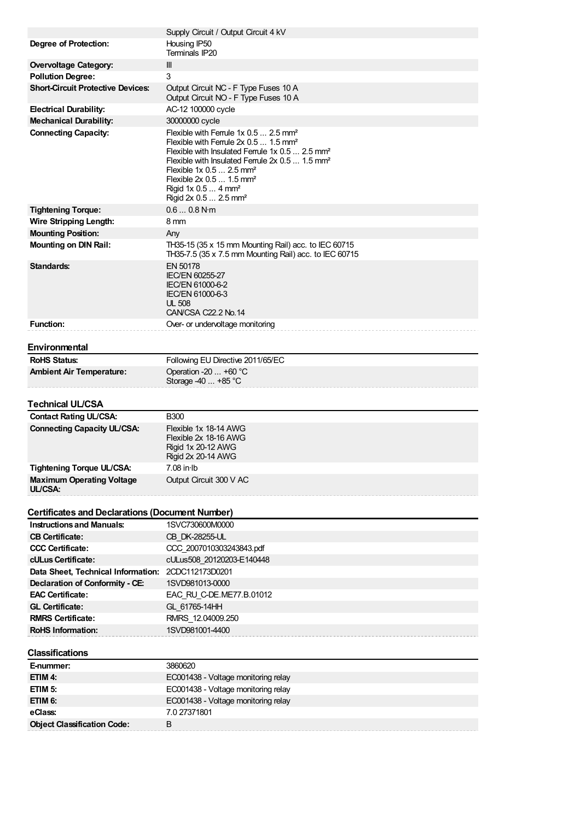|                                                        | Supply Circuit / Output Circuit 4 kV                                                                                                                                                                                                                                                                                                                                                                 |
|--------------------------------------------------------|------------------------------------------------------------------------------------------------------------------------------------------------------------------------------------------------------------------------------------------------------------------------------------------------------------------------------------------------------------------------------------------------------|
| Degree of Protection:                                  | Housing IP50<br>Terminals IP20                                                                                                                                                                                                                                                                                                                                                                       |
| <b>Overvoltage Category:</b>                           | Ш                                                                                                                                                                                                                                                                                                                                                                                                    |
| <b>Pollution Degree:</b>                               | 3                                                                                                                                                                                                                                                                                                                                                                                                    |
| <b>Short-Circuit Protective Devices:</b>               | Output Circuit NC - F Type Fuses 10 A<br>Output Circuit NO - F Type Fuses 10 A                                                                                                                                                                                                                                                                                                                       |
| <b>Electrical Durability:</b>                          | AC-12 100000 cycle                                                                                                                                                                                                                                                                                                                                                                                   |
| <b>Mechanical Durability:</b>                          | 30000000 cycle                                                                                                                                                                                                                                                                                                                                                                                       |
| <b>Connecting Capacity:</b>                            | Flexible with Ferrule $1x$ 0.5  2.5 mm <sup>2</sup><br>Flexible with Ferrule $2x$ 0.5  1.5 mm <sup>2</sup><br>Flexible with Insulated Ferrule 1x 0.5  2.5 mm <sup>2</sup><br>Flexible with Insulated Ferrule 2x 0.5  1.5 mm <sup>2</sup><br>Flexible $1x 0.5  2.5$ mm <sup>2</sup><br>Flexible 2x 0.5  1.5 mm <sup>2</sup><br>Rigid 1x $0.54$ mm <sup>2</sup><br>Rigid $2x$ 0.5  2.5 mm <sup>2</sup> |
| <b>Tightening Torque:</b>                              | 0.60.8 N·m                                                                                                                                                                                                                                                                                                                                                                                           |
| <b>Wire Stripping Length:</b>                          | 8 mm                                                                                                                                                                                                                                                                                                                                                                                                 |
| <b>Mounting Position:</b>                              | Any                                                                                                                                                                                                                                                                                                                                                                                                  |
| <b>Mounting on DIN Rail:</b>                           | TH35-15 (35 x 15 mm Mounting Rail) acc. to IEC 60715<br>TH35-7.5 (35 x 7.5 mm Mounting Rail) acc. to IEC 60715                                                                                                                                                                                                                                                                                       |
| Standards:                                             | EN 50178<br><b>IEC/EN 60255-27</b><br>IEC/EN 61000-6-2<br>IEC/EN 61000-6-3<br><b>UL 508</b><br>CAN/CSA C22.2 No.14                                                                                                                                                                                                                                                                                   |
| <b>Function:</b>                                       | Over- or undervoltage monitoring                                                                                                                                                                                                                                                                                                                                                                     |
|                                                        |                                                                                                                                                                                                                                                                                                                                                                                                      |
| Environmental                                          |                                                                                                                                                                                                                                                                                                                                                                                                      |
| <b>RoHS Status:</b>                                    | Following EU Directive 2011/65/EC                                                                                                                                                                                                                                                                                                                                                                    |
| <b>Ambient Air Temperature:</b>                        | Operation -20  +60 °C                                                                                                                                                                                                                                                                                                                                                                                |
|                                                        |                                                                                                                                                                                                                                                                                                                                                                                                      |
|                                                        | Storage -40  +85 °C                                                                                                                                                                                                                                                                                                                                                                                  |
| Technical UL/CSA                                       |                                                                                                                                                                                                                                                                                                                                                                                                      |
| <b>Contact Rating UL/CSA:</b>                          | <b>B300</b>                                                                                                                                                                                                                                                                                                                                                                                          |
| <b>Connecting Capacity UL/CSA:</b>                     | Flexible 1x 18-14 AWG<br>Flexible 2x 18-16 AWG<br>Rigid 1x 20-12 AWG<br>Rigid 2x 20-14 AWG                                                                                                                                                                                                                                                                                                           |
| Tightening Torque UL/CSA:                              | 7.08 in Ib                                                                                                                                                                                                                                                                                                                                                                                           |
| <b>Maximum Operating Voltage</b><br>UL/CSA:            | Output Circuit 300 V AC                                                                                                                                                                                                                                                                                                                                                                              |
| <b>Certificates and Declarations (Document Number)</b> |                                                                                                                                                                                                                                                                                                                                                                                                      |
| <b>Instructions and Manuals:</b>                       | 1SVC730600M0000                                                                                                                                                                                                                                                                                                                                                                                      |
| <b>CB Certificate:</b>                                 | CB DK-28255-UL                                                                                                                                                                                                                                                                                                                                                                                       |
| <b>CCC Certificate:</b>                                | CCC 2007010303243843.pdf                                                                                                                                                                                                                                                                                                                                                                             |
| cULus Certificate:                                     | cULus508 20120203-E140448                                                                                                                                                                                                                                                                                                                                                                            |
| Data Sheet, Technical Information: 2CDC112173D0201     |                                                                                                                                                                                                                                                                                                                                                                                                      |
| Declaration of Conformity - CE:                        | 1SVD981013-0000                                                                                                                                                                                                                                                                                                                                                                                      |
| <b>EAC Certificate:</b>                                | EAC RU C-DE.ME77.B.01012                                                                                                                                                                                                                                                                                                                                                                             |
| <b>GL Certificate:</b>                                 | GL 61765-14HH                                                                                                                                                                                                                                                                                                                                                                                        |
| <b>RMRS Certificate:</b>                               | RMRS 12.04009.250                                                                                                                                                                                                                                                                                                                                                                                    |
| <b>RoHS Information:</b>                               | 1SVD981001-4400                                                                                                                                                                                                                                                                                                                                                                                      |
| Classifications                                        |                                                                                                                                                                                                                                                                                                                                                                                                      |
| E-nummer:                                              | 3860620                                                                                                                                                                                                                                                                                                                                                                                              |
| ETIM 4:                                                | EC001438 - Voltage monitoring relay                                                                                                                                                                                                                                                                                                                                                                  |
| ETIM <sub>5:</sub>                                     | EC001438 - Voltage monitoring relay                                                                                                                                                                                                                                                                                                                                                                  |
| ETIM 6:                                                | EC001438 - Voltage monitoring relay                                                                                                                                                                                                                                                                                                                                                                  |
| eClass:<br><b>Object Classification Code:</b>          | 7.0 27371801<br>В                                                                                                                                                                                                                                                                                                                                                                                    |